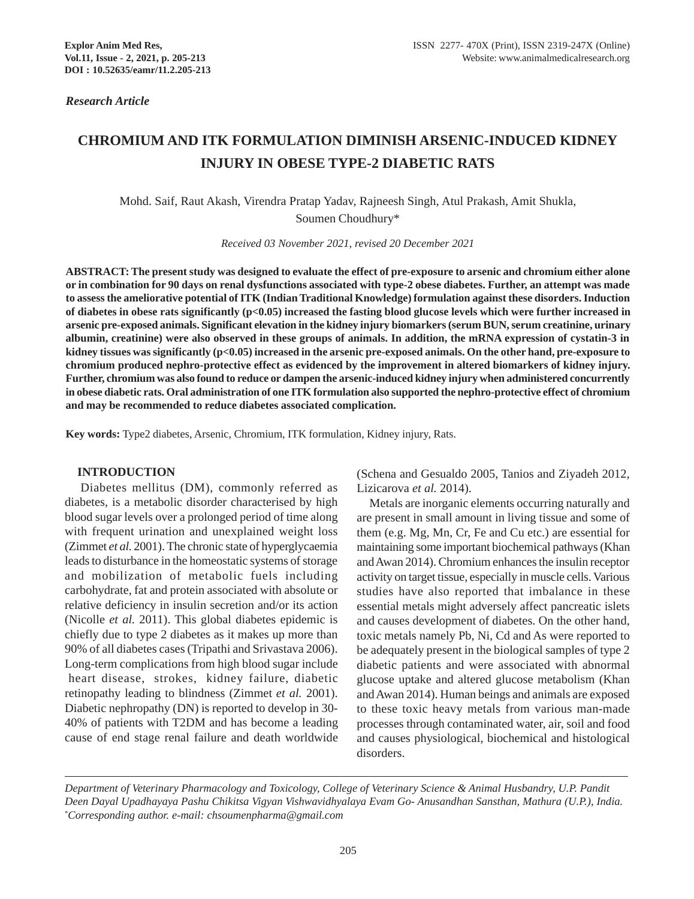*Research Article*

## **CHROMIUM AND ITK FORMULATION DIMINISH ARSENIC-INDUCED KIDNEY INJURY IN OBESE TYPE-2 DIABETIC RATS**

Mohd. Saif, Raut Akash, Virendra Pratap Yadav, Rajneesh Singh, Atul Prakash, Amit Shukla,

Soumen Choudhury\*

*Received 03 November 2021, revised 20 December 2021*

**ABSTRACT: The present study was designed to evaluate the effect of pre-exposure to arsenic and chromium either alone or in combination for 90 days on renal dysfunctions associated with type-2 obese diabetes. Further, an attempt was made to assess the ameliorative potential of ITK (Indian Traditional Knowledge) formulation against these disorders. Induction of diabetes in obese rats significantly (p<0.05) increased the fasting blood glucose levels which were further increased in arsenic pre-exposed animals. Significant elevation in the kidney injury biomarkers (serum BUN, serum creatinine, urinary albumin, creatinine) were also observed in these groups of animals. In addition, the mRNA expression of cystatin-3 in kidney tissues was significantly (p<0.05) increased in the arsenic pre-exposed animals. On the other hand, pre-exposure to chromium produced nephro-protective effect as evidenced by the improvement in altered biomarkers of kidney injury. Further, chromium was also found to reduce or dampen the arsenic-induced kidney injury when administered concurrently in obese diabetic rats. Oral administration of one ITK formulation also supported the nephro-protective effect of chromium and may be recommended to reduce diabetes associated complication.**

**Key words:** Type2 diabetes, Arsenic, Chromium, ITK formulation, Kidney injury, Rats.

### **INTRODUCTION**

Diabetes mellitus (DM), commonly referred as diabetes, is a metabolic disorder characterised by high blood sugar levels over a prolonged period of time along with frequent urination and unexplained weight loss (Zimmet *et al.* 2001). The chronic state of hyperglycaemia leads to disturbance in the homeostatic systems of storage and mobilization of metabolic fuels including carbohydrate, fat and protein associated with absolute or relative deficiency in insulin secretion and/or its action (Nicolle *et al.* 2011). This global diabetes epidemic is chiefly due to type 2 diabetes as it makes up more than 90% of all diabetes cases (Tripathi and Srivastava 2006). Long-term complications from high blood sugar include heart disease, strokes, kidney failure, diabetic retinopathy leading to blindness (Zimmet *et al.* 2001). Diabetic nephropathy (DN) is reported to develop in 30- 40% of patients with T2DM and has become a leading cause of end stage renal failure and death worldwide

(Schena and Gesualdo 2005, Tanios and Ziyadeh 2012, Lizicarova *et al.* 2014).

Metals are inorganic elements occurring naturally and are present in small amount in living tissue and some of them (e.g. Mg, Mn, Cr, Fe and Cu etc.) are essential for maintaining some important biochemical pathways (Khan and Awan 2014). Chromium enhances the insulin receptor activity on target tissue, especially in muscle cells. Various studies have also reported that imbalance in these essential metals might adversely affect pancreatic islets and causes development of diabetes. On the other hand, toxic metals namely Pb, Ni, Cd and As were reported to be adequately present in the biological samples of type 2 diabetic patients and were associated with abnormal glucose uptake and altered glucose metabolism (Khan and Awan 2014). Human beings and animals are exposed to these toxic heavy metals from various man-made processes through contaminated water, air, soil and food and causes physiological, biochemical and histological disorders.

*Department of Veterinary Pharmacology and Toxicology, College of Veterinary Science & Animal Husbandry, U.P. Pandit Deen Dayal Upadhayaya Pashu Chikitsa Vigyan Vishwavidhyalaya Evam Go- Anusandhan Sansthan, Mathura (U.P.), India.* \* *Corresponding author. e-mail: chsoumenpharma@gmail.com*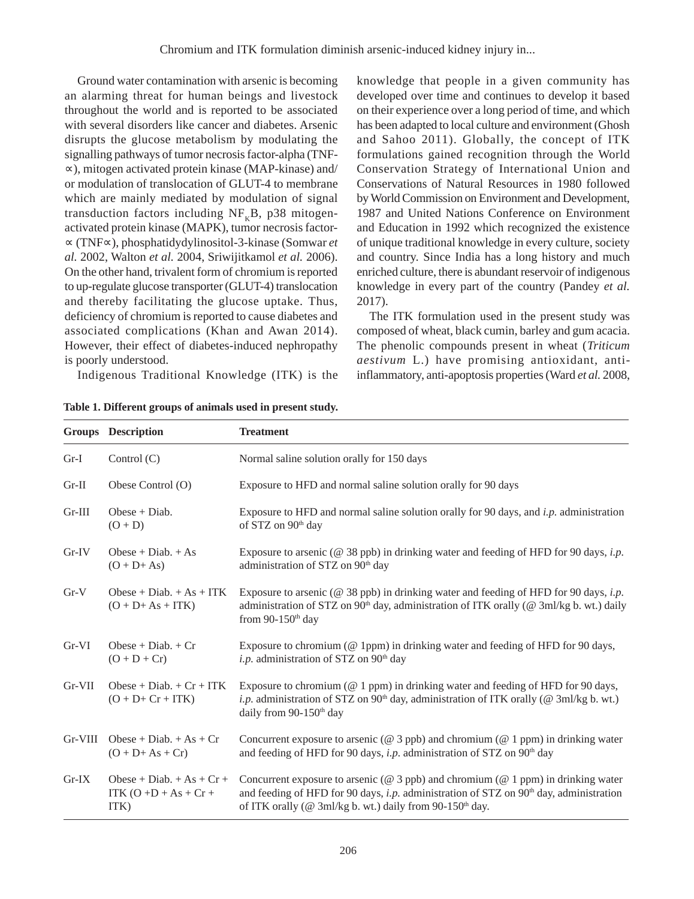Ground water contamination with arsenic is becoming an alarming threat for human beings and livestock throughout the world and is reported to be associated with several disorders like cancer and diabetes. Arsenic disrupts the glucose metabolism by modulating the signalling pathways of tumor necrosis factor-alpha (TNF- ∝), mitogen activated protein kinase (MAP-kinase) and/ or modulation of translocation of GLUT-4 to membrane which are mainly mediated by modulation of signal transduction factors including  $NF<sub>K</sub>B$ , p38 mitogenactivated protein kinase (MAPK), tumor necrosis factor- ∝ (TNF∝), phosphatidydylinositol-3-kinase (Somwar *et al.* 2002, Walton *et al.* 2004, Sriwijitkamol *et al.* 2006). On the other hand, trivalent form of chromium is reported to up-regulate glucose transporter (GLUT-4) translocation and thereby facilitating the glucose uptake. Thus, deficiency of chromium is reported to cause diabetes and associated complications (Khan and Awan 2014). However, their effect of diabetes-induced nephropathy is poorly understood.

Indigenous Traditional Knowledge (ITK) is the

|  |  |  |  |  |  |  |  | Table 1. Different groups of animals used in present study. |  |
|--|--|--|--|--|--|--|--|-------------------------------------------------------------|--|
|--|--|--|--|--|--|--|--|-------------------------------------------------------------|--|

knowledge that people in a given community has developed over time and continues to develop it based on their experience over a long period of time, and which has been adapted to local culture and environment (Ghosh and Sahoo 2011). Globally, the concept of ITK formulations gained recognition through the World Conservation Strategy of International Union and Conservations of Natural Resources in 1980 followed by World Commission on Environment and Development, 1987 and United Nations Conference on Environment and Education in 1992 which recognized the existence of unique traditional knowledge in every culture, society and country. Since India has a long history and much enriched culture, there is abundant reservoir of indigenous knowledge in every part of the country (Pandey *et al.* 2017).

The ITK formulation used in the present study was composed of wheat, black cumin, barley and gum acacia. The phenolic compounds present in wheat (*Triticum aestivum* L.) have promising antioxidant, antiinflammatory, anti-apoptosis properties (Ward *et al.* 2008,

|           | Groups Description                                              | <b>Treatment</b>                                                                                                                                                                                                                                            |
|-----------|-----------------------------------------------------------------|-------------------------------------------------------------------------------------------------------------------------------------------------------------------------------------------------------------------------------------------------------------|
| $Gr-I$    | Control $(C)$                                                   | Normal saline solution orally for 150 days                                                                                                                                                                                                                  |
| $Gr-II$   | Obese Control (O)                                               | Exposure to HFD and normal saline solution orally for 90 days                                                                                                                                                                                               |
| $Gr-III$  | $Obese + Diab.$<br>$(O + D)$                                    | Exposure to HFD and normal saline solution orally for 90 days, and $i.p$ . administration<br>of STZ on 90 <sup>th</sup> day                                                                                                                                 |
| Gr IV     | Obese + Diab. $+$ As<br>$(O + D + As)$                          | Exposure to arsenic ( $@$ 38 ppb) in drinking water and feeding of HFD for 90 days, <i>i.p.</i><br>administration of STZ on 90 <sup>th</sup> day                                                                                                            |
| $Gr-V$    | Obese + Diab. $+ As + ITK$<br>$(O + D + As + ITK)$              | Exposure to arsenic ( $@$ 38 ppb) in drinking water and feeding of HFD for 90 days, <i>i.p.</i><br>administration of STZ on 90 <sup>th</sup> day, administration of ITK orally (@ 3ml/kg b. wt.) daily<br>from 90-150 <sup>th</sup> day                     |
| $Gr-VI$   | $Obese + Diab. + Cr$<br>$(O + D + Cr)$                          | Exposure to chromium (@ 1ppm) in drinking water and feeding of HFD for 90 days,<br><i>i.p.</i> administration of STZ on $90th$ day                                                                                                                          |
| $Gr-VII$  | $Obese + Diab. + Cr + ITK$<br>$(O + D + Cr + ITK)$              | Exposure to chromium ( $@1$ ppm) in drinking water and feeding of HFD for 90 days,<br><i>i.p.</i> administration of STZ on 90 <sup>th</sup> day, administration of ITK orally (@ 3ml/kg b. wt.)<br>daily from 90-150 <sup>th</sup> day                      |
| $Gr-VIII$ | Obese + Diab. $+ As + Cr$<br>$(O + D + As + Cr)$                | Concurrent exposure to arsenic ( $@$ 3 ppb) and chromium ( $@$ 1 ppm) in drinking water<br>and feeding of HFD for 90 days, i.p. administration of STZ on $90th$ day                                                                                         |
| $Gr-IX$   | Obese + Diab. $+ As + Cr +$<br>ITK $(O + D + As + Cr +$<br>ITK) | Concurrent exposure to arsenic ( $@$ 3 ppb) and chromium ( $@$ 1 ppm) in drinking water<br>and feeding of HFD for 90 days, i.p. administration of STZ on $90th$ day, administration<br>of ITK orally (@ 3ml/kg b. wt.) daily from 90-150 <sup>th</sup> day. |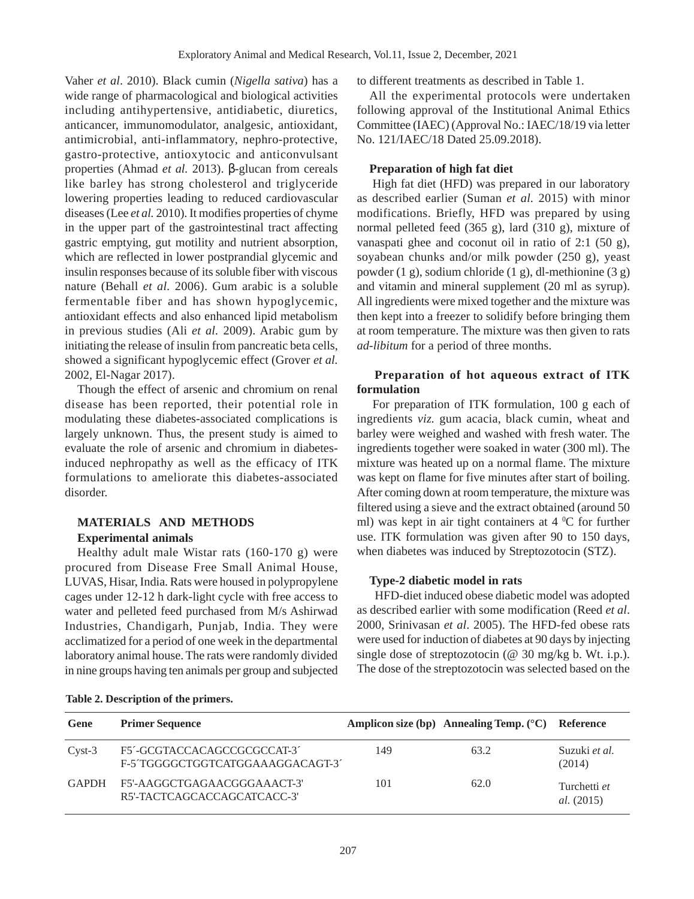Vaher *et al*. 2010). Black cumin (*Nigella sativa*) has a wide range of pharmacological and biological activities including antihypertensive, antidiabetic, diuretics, anticancer, immunomodulator, analgesic, antioxidant, antimicrobial, anti-inflammatory, nephro-protective, gastro-protective, antioxytocic and anticonvulsant properties (Ahmad *et al.* 2013). β-glucan from cereals like barley has strong cholesterol and triglyceride lowering properties leading to reduced cardiovascular diseases (Lee *et al.* 2010). It modifies properties of chyme in the upper part of the gastrointestinal tract affecting gastric emptying, gut motility and nutrient absorption, which are reflected in lower postprandial glycemic and insulin responses because of its soluble fiber with viscous nature (Behall *et al.* 2006). Gum arabic is a soluble fermentable fiber and has shown hypoglycemic, antioxidant effects and also enhanced lipid metabolism in previous studies (Ali *et al.* 2009). Arabic gum by initiating the release of insulin from pancreatic beta cells, showed a significant hypoglycemic effect (Grover *et al.* 2002, El-Nagar 2017).

Though the effect of arsenic and chromium on renal disease has been reported, their potential role in modulating these diabetes-associated complications is largely unknown. Thus, the present study is aimed to evaluate the role of arsenic and chromium in diabetesinduced nephropathy as well as the efficacy of ITK formulations to ameliorate this diabetes-associated disorder.

# **MATERIALS AND METHODS**

## **Experimental animals**

Healthy adult male Wistar rats (160-170 g) were procured from Disease Free Small Animal House, LUVAS, Hisar, India. Rats were housed in polypropylene cages under 12-12 h dark-light cycle with free access to water and pelleted feed purchased from M/s Ashirwad Industries, Chandigarh, Punjab, India. They were acclimatized for a period of one week in the departmental laboratory animal house. The rats were randomly divided in nine groups having ten animals per group and subjected to different treatments as described in Table 1.

All the experimental protocols were undertaken following approval of the Institutional Animal Ethics Committee (IAEC) (Approval No.: IAEC/18/19 via letter No. 121/IAEC/18 Dated 25.09.2018).

## **Preparation of high fat diet**

High fat diet (HFD) was prepared in our laboratory as described earlier (Suman *et al.* 2015) with minor modifications. Briefly, HFD was prepared by using normal pelleted feed (365 g), lard (310 g), mixture of vanaspati ghee and coconut oil in ratio of 2:1 (50 g), soyabean chunks and/or milk powder (250 g), yeast powder (1 g), sodium chloride (1 g), dl-methionine (3 g) and vitamin and mineral supplement (20 ml as syrup). All ingredients were mixed together and the mixture was then kept into a freezer to solidify before bringing them at room temperature. The mixture was then given to rats *ad-libitum* for a period of three months.

## **Preparation of hot aqueous extract of ITK formulation**

For preparation of ITK formulation, 100 g each of ingredients *viz.* gum acacia, black cumin, wheat and barley were weighed and washed with fresh water. The ingredients together were soaked in water (300 ml). The mixture was heated up on a normal flame. The mixture was kept on flame for five minutes after start of boiling. After coming down at room temperature, the mixture was filtered using a sieve and the extract obtained (around 50 ml) was kept in air tight containers at  $4 \,^{\circ}$ C for further use. ITK formulation was given after 90 to 150 days, when diabetes was induced by Streptozotocin (STZ).

## **Type-2 diabetic model in rats**

 HFD-diet induced obese diabetic model was adopted as described earlier with some modification (Reed *et al*. 2000, Srinivasan *et al*. 2005). The HFD-fed obese rats were used for induction of diabetes at 90 days by injecting single dose of streptozotocin ( $@$  30 mg/kg b. Wt. i.p.). The dose of the streptozotocin was selected based on the

| Gene         | <b>Primer Sequence</b>                                          |     | Amplicon size (bp) Annealing Temp. $({}^{\circ}C)$ Reference |                                   |
|--------------|-----------------------------------------------------------------|-----|--------------------------------------------------------------|-----------------------------------|
| $Cyst-3$     | F5'-GCGTACCACAGCCGCGCCAT-3'<br>F-5'TGGGGCTGGTCATGGAAAGGACAGT-3' | 149 | 63.2                                                         | Suzuki et al.<br>(2014)           |
| <b>GAPDH</b> | F5'-AAGGCTGAGAACGGGAAACT-3'<br>R5'-TACTCAGCACCAGCATCACC-3'      | 101 | 62.0                                                         | Turchetti et<br><i>al.</i> (2015) |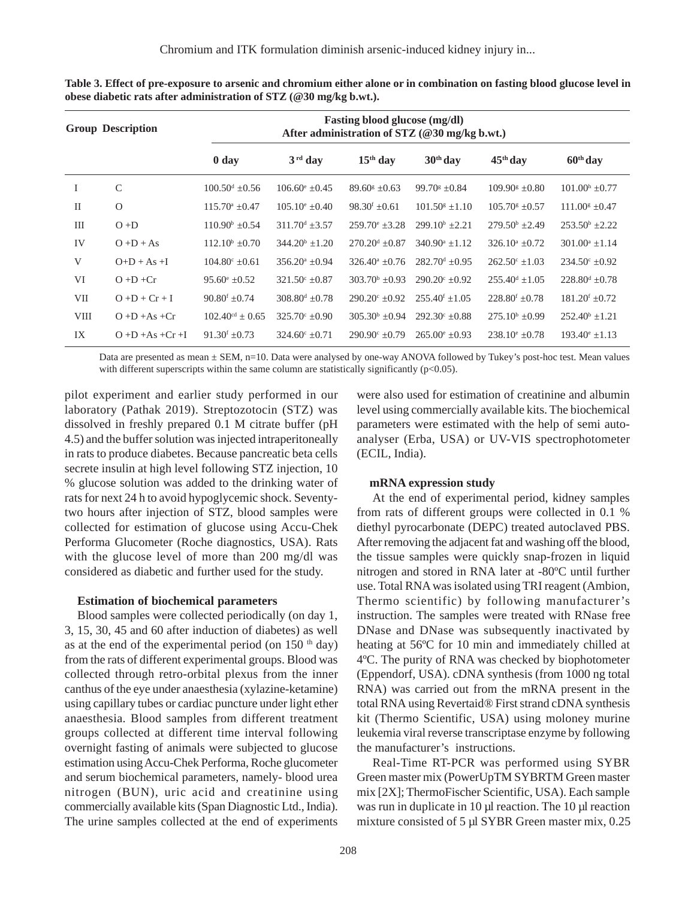| <b>Group Description</b> |                       |                              | <b>Fasting blood glucose (mg/dl)</b><br>After administration of STZ (@30 mg/kg b.wt.) |                              |                              |                                 |                              |  |
|--------------------------|-----------------------|------------------------------|---------------------------------------------------------------------------------------|------------------------------|------------------------------|---------------------------------|------------------------------|--|
|                          |                       | 0 <sub>day</sub>             | $3rd$ day                                                                             | $15th$ day                   | $30th$ day                   | $45th$ day                      | $60th$ day                   |  |
| I                        | $\mathcal{C}$         | $100.50^{\text{d}} + 0.56$   | $106.60^{\circ} + 0.45$                                                               | $89.60^{\circ} + 0.63$       | $99.70$ <sup>s</sup> +0.84   | $109.90^{\circ} + 0.80^{\circ}$ | $101.00^{\rm h}$ ±0.77       |  |
| $\rm II$                 | $\Omega$              | $115.70^{\mathrm{a}} + 0.47$ | $105.10^{\circ} + 0.40$                                                               | $98.30^{\rm f} \pm 0.61$     | $101.50^{\circ}$ +1.10       | $105.70^{\circ}$ +0.57          | $111.00^{\text{g}} \pm 0.47$ |  |
| Ш                        | $O + D$               | $110.90^{\circ}$ ±0.54       | $311.70^{\text{d}} + 3.57$                                                            | $259.70^{\circ}$ ±3.28       | $299.10^b + 2.21$            | $279.50^{\circ}$ ±2.49          | $253.50^{\circ}$ ±2.22       |  |
| IV                       | $O + D + As$          | $112.10^b \pm 0.70$          | $344.20^b + 1.20$                                                                     | $270.20^{\text{d}} \pm 0.87$ | $340.90^a + 1.12$            | $326.10^a + 0.72$               | $301.00^a + 1.14$            |  |
| V                        | $O+D+As+I$            | $104.80^{\circ} + 0.61$      | $356.20^a + 0.94$                                                                     | $326.40^{\circ} \pm 0.76$    | $282.70^{\text{d}} \pm 0.95$ | $262.50^{\circ}$ +1.03          | $234.50^{\circ} \pm 0.92$    |  |
| VI                       | $O + D + Cr$          | $95.60^{\circ} \pm 0.52$     | $321.50^{\circ} \pm 0.87$                                                             | $303.70^{\rm b} \pm 0.93$    | $290.20^{\circ} + 0.92$      | $255.40^{d} + 1.05$             | $228.80^{\text{d}}$ ±0.78    |  |
| <b>VII</b>               | $O + D + Cr + I$      | $90.80^{\rm f}$ ±0.74        | $308.80^{\text{d}} \pm 0.78$                                                          | $290.20^{\circ} \pm 0.92$    | $255.40^{f}$ + 1.05          | $228.80^{\rm f}$ ±0.78          | $181.20^{\rm f}$ ±0.72       |  |
| <b>VIII</b>              | $O + D + As + Cr$     | $102.40^{cd} \pm 0.65$       | $325.70^{\circ} + 0.90$                                                               | $305.30^{\circ}$ ±0.94       | $292.30^{\circ} + 0.88$      | $275.10^{\circ}$ ±0.99          | $252.40^{\circ}$ ±1.21       |  |
| IX                       | $O + D + As + Cr + I$ | $91.30^{\rm f} \pm 0.73$     | $324.60^{\circ} + 0.71$                                                               | $290.90^{\circ}$ +0.79       | $265.00^{\circ} + 0.93$      | $238.10^{\circ} \pm 0.78$       | $193.40^{\circ}$ ±1.13       |  |

**Table 3. Effect of pre-exposure to arsenic and chromium either alone or in combination on fasting blood glucose level in obese diabetic rats after administration of STZ (@30 mg/kg b.wt.).**

Data are presented as mean ± SEM, n=10. Data were analysed by one-way ANOVA followed by Tukey's post-hoc test. Mean values with different superscripts within the same column are statistically significantly  $(p<0.05)$ .

pilot experiment and earlier study performed in our laboratory (Pathak 2019). Streptozotocin (STZ) was dissolved in freshly prepared 0.1 M citrate buffer (pH 4.5) and the buffer solution was injected intraperitoneally in rats to produce diabetes. Because pancreatic beta cells secrete insulin at high level following STZ injection, 10 % glucose solution was added to the drinking water of rats for next 24 h to avoid hypoglycemic shock. Seventytwo hours after injection of STZ, blood samples were collected for estimation of glucose using Accu-Chek Performa Glucometer (Roche diagnostics, USA). Rats with the glucose level of more than 200 mg/dl was considered as diabetic and further used for the study.

#### **Estimation of biochemical parameters**

Blood samples were collected periodically (on day 1, 3, 15, 30, 45 and 60 after induction of diabetes) as well as at the end of the experimental period (on  $150<sup>th</sup>$  day) from the rats of different experimental groups. Blood was collected through retro-orbital plexus from the inner canthus of the eye under anaesthesia (xylazine-ketamine) using capillary tubes or cardiac puncture under light ether anaesthesia. Blood samples from different treatment groups collected at different time interval following overnight fasting of animals were subjected to glucose estimation using Accu-Chek Performa, Roche glucometer and serum biochemical parameters, namely- blood urea nitrogen (BUN), uric acid and creatinine using commercially available kits (Span Diagnostic Ltd., India). The urine samples collected at the end of experiments

were also used for estimation of creatinine and albumin level using commercially available kits. The biochemical parameters were estimated with the help of semi autoanalyser (Erba, USA) or UV-VIS spectrophotometer (ECIL, India).

#### **mRNA expression study**

At the end of experimental period, kidney samples from rats of different groups were collected in 0.1 % diethyl pyrocarbonate (DEPC) treated autoclaved PBS. After removing the adjacent fat and washing off the blood, the tissue samples were quickly snap-frozen in liquid nitrogen and stored in RNA later at -80ºC until further use. Total RNA was isolated using TRI reagent (Ambion, Thermo scientific) by following manufacturer's instruction. The samples were treated with RNase free DNase and DNase was subsequently inactivated by heating at 56ºC for 10 min and immediately chilled at 4ºC. The purity of RNA was checked by biophotometer (Eppendorf, USA). cDNA synthesis (from 1000 ng total RNA) was carried out from the mRNA present in the total RNA using Revertaid® First strand cDNA synthesis kit (Thermo Scientific, USA) using moloney murine leukemia viral reverse transcriptase enzyme by following the manufacturer's instructions.

Real-Time RT-PCR was performed using SYBR Green master mix (PowerUpTM SYBRTM Green master mix [2X]; ThermoFischer Scientific, USA). Each sample was run in duplicate in 10 µl reaction. The 10 µl reaction mixture consisted of 5 µl SYBR Green master mix, 0.25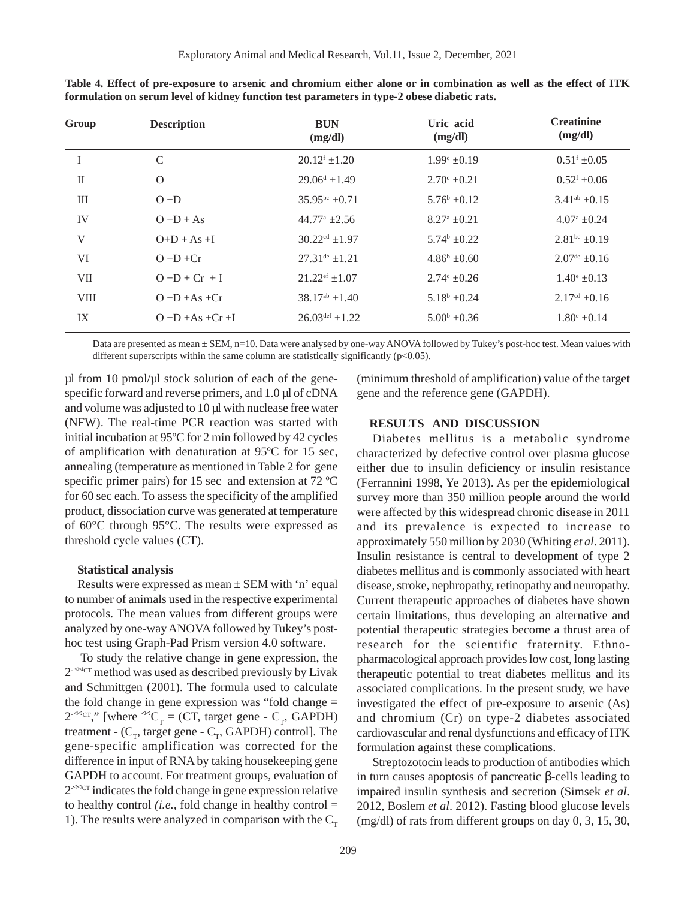| Group        | <b>Description</b>    | <b>BUN</b><br>(mg/dl)           | Uric acid<br>(mg/dl)    | <b>Creatinine</b><br>(mg/dl)  |
|--------------|-----------------------|---------------------------------|-------------------------|-------------------------------|
|              | $\mathcal{C}$         | $20.12^f \pm 1.20$              | $1.99^{\circ} \pm 0.19$ | $0.51^{\rm f}$ ±0.05          |
| $\mathbf{I}$ | $\mathcal{O}$         | $29.06^d$ +1.49                 | $2.70^{\circ}$ ±0.21    | $0.52^{\rm f}$ ±0.06          |
| III          | $O + D$               | $35.95^{bc}$ +0.71              | $5.76^b \pm 0.12$       | $3.41^{ab}$ + 0.15            |
| IV           | $O + D + As$          | $44.77^{\mathrm{a}}$ $\pm 2.56$ | $8.27^{\rm a}$ ±0.21    | $4.07^{\rm a}$ $\pm 0.24$     |
| V            | $O+D+As+I$            | $30.22^{cd}$ ±1.97              | $5.74^b \pm 0.22$       | $2.81bc \pm 0.19$             |
| VI           | $O + D + Cr$          | $27.31^{\text{de}}$ $\pm 1.21$  | $4.86^b \pm 0.60$       | $2.07^{\text{de}}$ $\pm 0.16$ |
| <b>VII</b>   | $O + D + Cr + I$      | $21.22^{\text{ef}}$ ±1.07       | $2.74^{\circ}$ ±0.26    | $1.40^{\circ}$ ±0.13          |
| <b>VIII</b>  | $O + D + As + Cr$     | $38.17^{ab} \pm 1.40$           | $5.18^b$ $\pm 0.24$     | $2.17cd \pm 0.16$             |
| IX           | $O + D + As + Cr + I$ | $26.03^{\text{def}}$ +1.22      | $5.00^{\rm b}$ ±0.36    | $1.80^{\circ}$ ±0.14          |
|              |                       |                                 |                         |                               |

**Table 4. Effect of pre-exposure to arsenic and chromium either alone or in combination as well as the effect of ITK formulation on serum level of kidney function test parameters in type-2 obese diabetic rats.**

Data are presented as mean  $\pm$  SEM, n=10. Data were analysed by one-way ANOVA followed by Tukey's post-hoc test. Mean values with different superscripts within the same column are statistically significantly  $(p<0.05)$ .

 $\mu$ l from 10 pmol/ $\mu$ l stock solution of each of the genespecific forward and reverse primers, and 1.0 µl of cDNA and volume was adjusted to 10 µl with nuclease free water (NFW). The real-time PCR reaction was started with initial incubation at 95ºC for 2 min followed by 42 cycles of amplification with denaturation at 95ºC for 15 sec, annealing (temperature as mentioned in Table 2 for gene specific primer pairs) for 15 sec and extension at 72 °C for 60 sec each. To assess the specificity of the amplified product, dissociation curve was generated at temperature of 60°C through 95°C. The results were expressed as threshold cycle values (CT).

#### **Statistical analysis**

Results were expressed as mean  $\pm$  SEM with 'n' equal to number of animals used in the respective experimental protocols. The mean values from different groups were analyzed by one-way ANOVA followed by Tukey's posthoc test using Graph-Pad Prism version 4.0 software.

To study the relative change in gene expression, the  $2<sup>-4</sup> <sup>CT</sup>$  method was used as described previously by Livak and Schmittgen (2001). The formula used to calculate the fold change in gene expression was "fold change =  $2^{-\alpha}$ CT," [where  $\alpha$ <sup>d</sup>C<sub>T</sub> = (CT, target gene - C<sub>T</sub>, GAPDH) treatment -  $(C_T, \text{target gene} - C_T, \text{GAPDH})$  control]. The gene-specific amplification was corrected for the difference in input of RNA by taking housekeeping gene GAPDH to account. For treatment groups, evaluation of  $2^{2\text{-} \text{eqc}}$  indicates the fold change in gene expression relative to healthy control  $(i.e.,$  fold change in healthy control  $=$ 1). The results were analyzed in comparison with the  $C_T$ 

(minimum threshold of amplification) value of the target gene and the reference gene (GAPDH).

#### **RESULTS AND DISCUSSION**

Diabetes mellitus is a metabolic syndrome characterized by defective control over plasma glucose either due to insulin deficiency or insulin resistance (Ferrannini 1998, Ye 2013). As per the epidemiological survey more than 350 million people around the world were affected by this widespread chronic disease in 2011 and its prevalence is expected to increase to approximately 550 million by 2030 (Whiting *et al*. 2011). Insulin resistance is central to development of type 2 diabetes mellitus and is commonly associated with heart disease, stroke, nephropathy, retinopathy and neuropathy. Current therapeutic approaches of diabetes have shown certain limitations, thus developing an alternative and potential therapeutic strategies become a thrust area of research for the scientific fraternity. Ethnopharmacological approach provides low cost, long lasting therapeutic potential to treat diabetes mellitus and its associated complications. In the present study, we have investigated the effect of pre-exposure to arsenic (As) and chromium (Cr) on type-2 diabetes associated cardiovascular and renal dysfunctions and efficacy of ITK formulation against these complications.

Streptozotocin leads to production of antibodies which in turn causes apoptosis of pancreatic β-cells leading to impaired insulin synthesis and secretion (Simsek *et al*. 2012, Boslem *et al*. 2012). Fasting blood glucose levels (mg/dl) of rats from different groups on day 0, 3, 15, 30,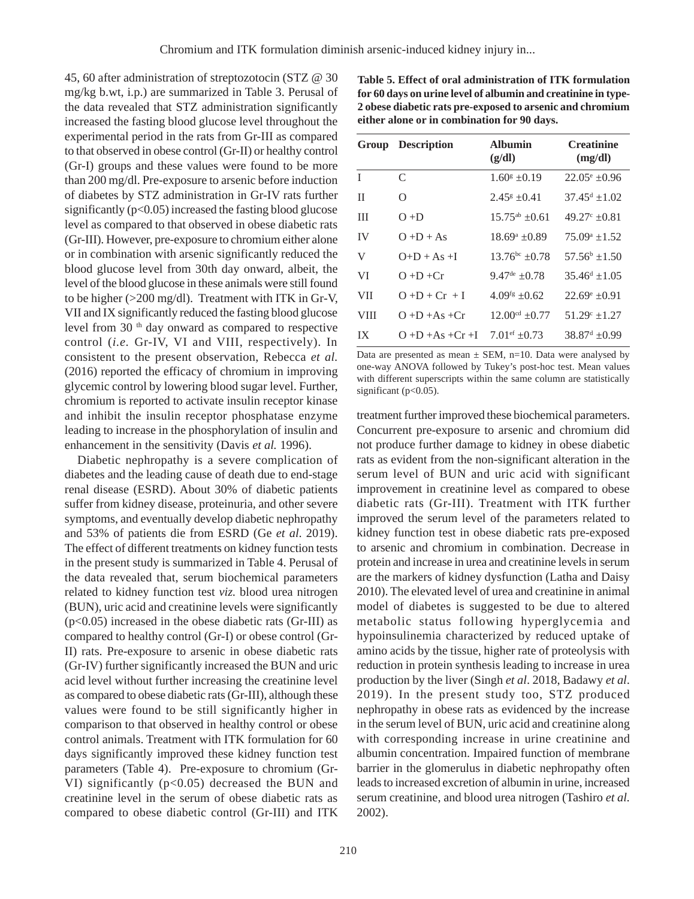45, 60 after administration of streptozotocin (STZ @ 30 mg/kg b.wt, i.p.) are summarized in Table 3. Perusal of the data revealed that STZ administration significantly increased the fasting blood glucose level throughout the experimental period in the rats from Gr-III as compared to that observed in obese control (Gr-II) or healthy control (Gr-I) groups and these values were found to be more than 200 mg/dl. Pre-exposure to arsenic before induction of diabetes by STZ administration in Gr-IV rats further significantly  $(p<0.05)$  increased the fasting blood glucose level as compared to that observed in obese diabetic rats (Gr-III). However, pre-exposure to chromium either alone or in combination with arsenic significantly reduced the blood glucose level from 30th day onward, albeit, the level of the blood glucose in these animals were still found to be higher (>200 mg/dl). Treatment with ITK in Gr-V, VII and IX significantly reduced the fasting blood glucose level from 30<sup>th</sup> day onward as compared to respective control (*i.e.* Gr-IV, VI and VIII, respectively). In consistent to the present observation, Rebecca *et al.* (2016) reported the efficacy of chromium in improving glycemic control by lowering blood sugar level. Further, chromium is reported to activate insulin receptor kinase and inhibit the insulin receptor phosphatase enzyme leading to increase in the phosphorylation of insulin and enhancement in the sensitivity (Davis *et al.* 1996).

Diabetic nephropathy is a severe complication of diabetes and the leading cause of death due to end-stage renal disease (ESRD). About 30% of diabetic patients suffer from kidney disease, proteinuria, and other severe symptoms, and eventually develop diabetic nephropathy and 53% of patients die from ESRD (Ge *et al*. 2019). The effect of different treatments on kidney function tests in the present study is summarized in Table 4. Perusal of the data revealed that, serum biochemical parameters related to kidney function test *viz.* blood urea nitrogen (BUN), uric acid and creatinine levels were significantly (p<0.05) increased in the obese diabetic rats (Gr-III) as compared to healthy control (Gr-I) or obese control (Gr-II) rats. Pre-exposure to arsenic in obese diabetic rats (Gr-IV) further significantly increased the BUN and uric acid level without further increasing the creatinine level as compared to obese diabetic rats (Gr-III), although these values were found to be still significantly higher in comparison to that observed in healthy control or obese control animals. Treatment with ITK formulation for 60 days significantly improved these kidney function test parameters (Table 4). Pre-exposure to chromium (Gr-VI) significantly (p<0.05) decreased the BUN and creatinine level in the serum of obese diabetic rats as compared to obese diabetic control (Gr-III) and ITK

**Table 5. Effect of oral administration of ITK formulation for 60 days on urine level of albumin and creatinine in type-2 obese diabetic rats pre-exposed to arsenic and chromium either alone or in combination for 90 days.**

|             | <b>Group Description</b> | <b>Albumin</b><br>(g/dl)  | <b>Creatinine</b><br>(mg/dl) |
|-------------|--------------------------|---------------------------|------------------------------|
| T           | C                        | $1.60^g \pm 0.19$         | $22.05^{\circ}$ ±0.96        |
| П           | Ω                        | $2.45^{\rm g}$ $\pm$ 0.41 | $37.45^{\text{d}} + 1.02$    |
| Ш           | $O + D$                  | $15.75^{ab}$ $\pm 0.61$   | $49.27^{\circ}$ $\pm 0.81$   |
| <b>IV</b>   | $O + D + As$             | $18.69^a \pm 0.89$        | $75.09^{\circ}$ +1.52        |
| V           | $O+D+As+I$               | $13.76^{bc} + 0.78$       | $57.56^b$ +1.50              |
| VI          | $O + D + Cr$             | $9.47^{\text{de}} + 0.78$ | $35.46^{\text{d}} + 1.05$    |
| <b>VII</b>  | $O + D + Cr + I$         | $4.09fg + 0.62$           | $22.69^{\circ}$ $\pm 0.91$   |
| <b>VIII</b> | $O + D + As + Cr$        | $12.00cd + 0.77$          | $51.29^{\circ} + 1.27$       |
| IX          | $O + D + As + Cr + I$    | $7.01$ ef $+0.73$         | $38.87^{\rm d}$ +0.99        |

Data are presented as mean  $\pm$  SEM, n=10. Data were analysed by one-way ANOVA followed by Tukey's post-hoc test. Mean values with different superscripts within the same column are statistically significant (p<0.05).

treatment further improved these biochemical parameters. Concurrent pre-exposure to arsenic and chromium did not produce further damage to kidney in obese diabetic rats as evident from the non-significant alteration in the serum level of BUN and uric acid with significant improvement in creatinine level as compared to obese diabetic rats (Gr-III). Treatment with ITK further improved the serum level of the parameters related to kidney function test in obese diabetic rats pre-exposed to arsenic and chromium in combination. Decrease in protein and increase in urea and creatinine levels in serum are the markers of kidney dysfunction (Latha and Daisy 2010). The elevated level of urea and creatinine in animal model of diabetes is suggested to be due to altered metabolic status following hyperglycemia and hypoinsulinemia characterized by reduced uptake of amino acids by the tissue, higher rate of proteolysis with reduction in protein synthesis leading to increase in urea production by the liver (Singh *et al*. 2018, Badawy *et al*. 2019). In the present study too, STZ produced nephropathy in obese rats as evidenced by the increase in the serum level of BUN, uric acid and creatinine along with corresponding increase in urine creatinine and albumin concentration. Impaired function of membrane barrier in the glomerulus in diabetic nephropathy often leads to increased excretion of albumin in urine, increased serum creatinine, and blood urea nitrogen (Tashiro *et al.* 2002).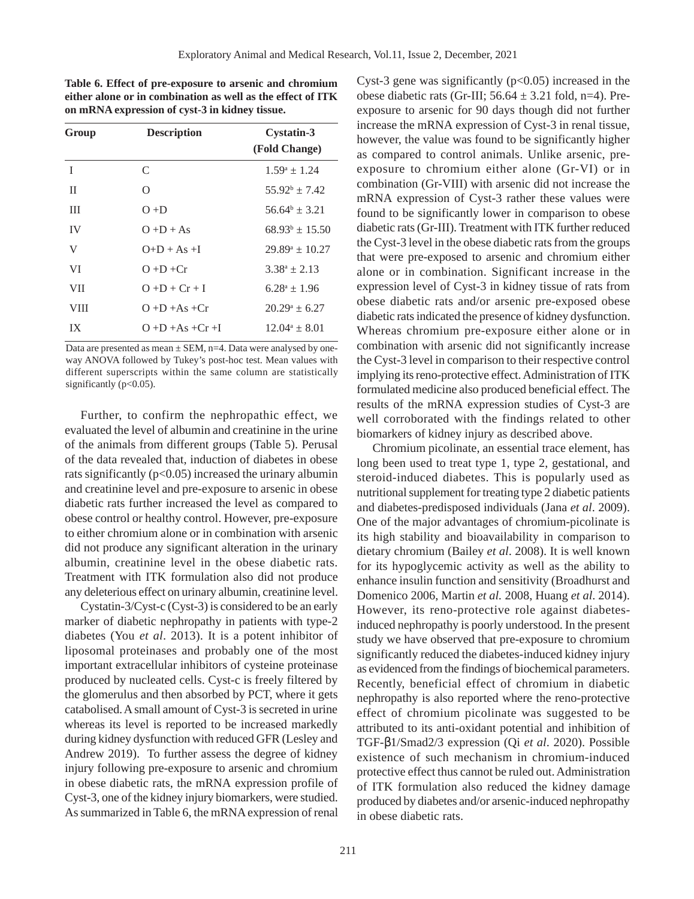**Table 6. Effect of pre-exposure to arsenic and chromium either alone or in combination as well as the effect of ITK on mRNA expression of cyst-3 in kidney tissue.**

| Group      | <b>Description</b>    | <b>Cystatin-3</b><br>(Fold Change) |
|------------|-----------------------|------------------------------------|
| T          | C                     | $1.59^a \pm 1.24$                  |
| П          | Ω                     | $55.92^b \pm 7.42$                 |
| Ш          | $O + D$               | $56.64^b \pm 3.21$                 |
| IV         | $O + D + As$          | $68.93^b \pm 15.50$                |
| V          | $O+D+As+I$            | $29.89^a \pm 10.27$                |
| VI         | $O + D + Cr$          | $3.38^a \pm 2.13$                  |
| <b>VII</b> | $O + D + Cr + I$      | $6.28^a \pm 1.96$                  |
| VIII       | $O + D + As + Cr$     | $20.29^a \pm 6.27$                 |
| IX         | $O + D + As + Cr + I$ | $12.04^a \pm 8.01$                 |

Data are presented as mean  $\pm$  SEM, n=4. Data were analysed by oneway ANOVA followed by Tukey's post-hoc test. Mean values with different superscripts within the same column are statistically significantly (p<0.05).

Further, to confirm the nephropathic effect, we evaluated the level of albumin and creatinine in the urine of the animals from different groups (Table 5). Perusal of the data revealed that, induction of diabetes in obese rats significantly  $(p<0.05)$  increased the urinary albumin and creatinine level and pre-exposure to arsenic in obese diabetic rats further increased the level as compared to obese control or healthy control. However, pre-exposure to either chromium alone or in combination with arsenic did not produce any significant alteration in the urinary albumin, creatinine level in the obese diabetic rats. Treatment with ITK formulation also did not produce any deleterious effect on urinary albumin, creatinine level.

Cystatin-3/Cyst-c (Cyst-3) is considered to be an early marker of diabetic nephropathy in patients with type-2 diabetes (You *et al*. 2013). It is a potent inhibitor of liposomal proteinases and probably one of the most important extracellular inhibitors of cysteine proteinase produced by nucleated cells. Cyst-c is freely filtered by the glomerulus and then absorbed by PCT, where it gets catabolised. A small amount of Cyst-3 is secreted in urine whereas its level is reported to be increased markedly during kidney dysfunction with reduced GFR (Lesley and Andrew 2019). To further assess the degree of kidney injury following pre-exposure to arsenic and chromium in obese diabetic rats, the mRNA expression profile of Cyst-3, one of the kidney injury biomarkers, were studied. As summarized in Table 6, the mRNA expression of renal

Cyst-3 gene was significantly  $(p<0.05)$  increased in the obese diabetic rats (Gr-III;  $56.64 \pm 3.21$  fold, n=4). Preexposure to arsenic for 90 days though did not further increase the mRNA expression of Cyst-3 in renal tissue, however, the value was found to be significantly higher as compared to control animals. Unlike arsenic, preexposure to chromium either alone (Gr-VI) or in combination (Gr-VIII) with arsenic did not increase the mRNA expression of Cyst-3 rather these values were found to be significantly lower in comparison to obese diabetic rats (Gr-III). Treatment with ITK further reduced the Cyst-3 level in the obese diabetic rats from the groups that were pre-exposed to arsenic and chromium either alone or in combination. Significant increase in the expression level of Cyst-3 in kidney tissue of rats from obese diabetic rats and/or arsenic pre-exposed obese diabetic rats indicated the presence of kidney dysfunction. Whereas chromium pre-exposure either alone or in combination with arsenic did not significantly increase the Cyst-3 level in comparison to their respective control implying its reno-protective effect. Administration of ITK formulated medicine also produced beneficial effect. The results of the mRNA expression studies of Cyst-3 are well corroborated with the findings related to other biomarkers of kidney injury as described above.

Chromium picolinate, an essential trace element, has long been used to treat type 1, type 2, gestational, and steroid-induced diabetes. This is popularly used as nutritional supplement for treating type 2 diabetic patients and diabetes-predisposed individuals (Jana *et al*. 2009). One of the major advantages of chromium-picolinate is its high stability and bioavailability in comparison to dietary chromium (Bailey *et al*. 2008). It is well known for its hypoglycemic activity as well as the ability to enhance insulin function and sensitivity (Broadhurst and Domenico 2006, Martin *et al.* 2008, Huang *et al*. 2014). However, its reno-protective role against diabetesinduced nephropathy is poorly understood. In the present study we have observed that pre-exposure to chromium significantly reduced the diabetes-induced kidney injury as evidenced from the findings of biochemical parameters. Recently, beneficial effect of chromium in diabetic nephropathy is also reported where the reno-protective effect of chromium picolinate was suggested to be attributed to its anti-oxidant potential and inhibition of TGF-β1/Smad2/3 expression (Qi *et al*. 2020). Possible existence of such mechanism in chromium-induced protective effect thus cannot be ruled out. Administration of ITK formulation also reduced the kidney damage produced by diabetes and/or arsenic-induced nephropathy in obese diabetic rats.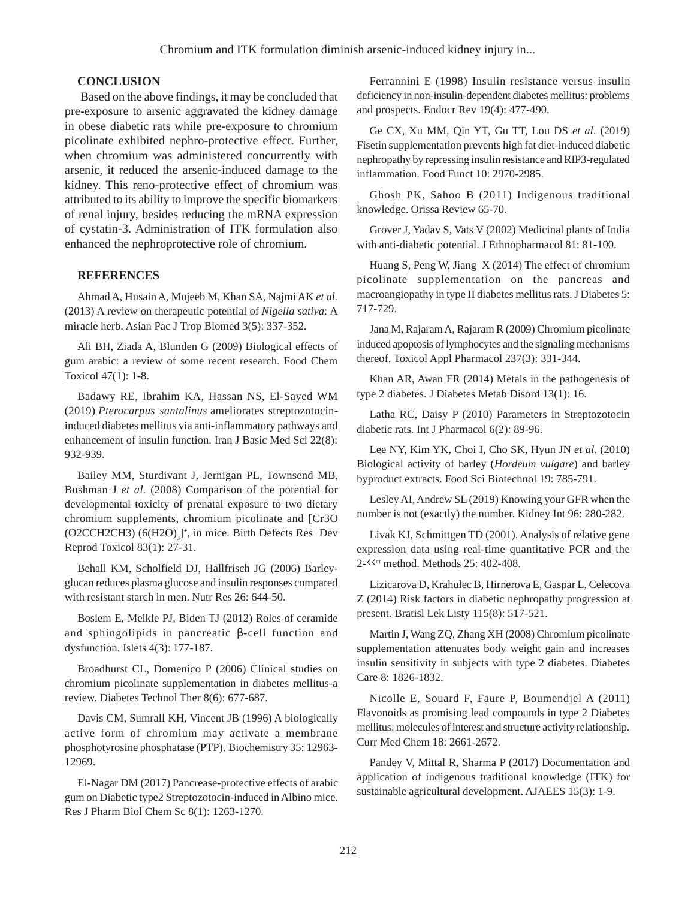#### **CONCLUSION**

Based on the above findings, it may be concluded that pre-exposure to arsenic aggravated the kidney damage in obese diabetic rats while pre-exposure to chromium picolinate exhibited nephro-protective effect. Further, when chromium was administered concurrently with arsenic, it reduced the arsenic-induced damage to the kidney. This reno-protective effect of chromium was attributed to its ability to improve the specific biomarkers of renal injury, besides reducing the mRNA expression of cystatin-3. Administration of ITK formulation also enhanced the nephroprotective role of chromium.

#### **REFERENCES**

Ahmad A, Husain A, Mujeeb M, Khan SA, Najmi AK *et al.* (2013) A review on therapeutic potential of *Nigella sativa*: A miracle herb. Asian Pac J Trop Biomed 3(5): 337-352.

Ali BH, Ziada A, Blunden G (2009) Biological effects of gum arabic: a review of some recent research. Food Chem Toxicol 47(1): 1-8.

Badawy RE, Ibrahim KA, Hassan NS, El-Sayed WM (2019) *Pterocarpus santalinus* ameliorates streptozotocininduced diabetes mellitus via anti-inflammatory pathways and enhancement of insulin function. Iran J Basic Med Sci 22(8): 932-939.

Bailey MM, Sturdivant J, Jernigan PL, Townsend MB, Bushman J *et al.* (2008) Comparison of the potential for developmental toxicity of prenatal exposure to two dietary chromium supplements, chromium picolinate and [Cr3O  $(O2CCH2CH3) (6(H2O)<sub>3</sub>]<sup>+</sup>$ , in mice. Birth Defects Res Dev Reprod Toxicol 83(1): 27-31.

Behall KM, Scholfield DJ, Hallfrisch JG (2006) Barleyglucan reduces plasma glucose and insulin responses compared with resistant starch in men. Nutr Res 26: 644-50.

Boslem E, Meikle PJ, Biden TJ (2012) Roles of ceramide and sphingolipids in pancreatic β-cell function and dysfunction. Islets 4(3): 177-187.

Broadhurst CL, Domenico P (2006) Clinical studies on chromium picolinate supplementation in diabetes mellitus-a review. Diabetes Technol Ther 8(6): 677-687.

Davis CM, Sumrall KH, Vincent JB (1996) A biologically active form of chromium may activate a membrane phosphotyrosine phosphatase (PTP). Biochemistry 35: 12963- 12969.

El-Nagar DM (2017) Pancrease-protective effects of arabic gum on Diabetic type2 Streptozotocin-induced in Albino mice. Res J Pharm Biol Chem Sc 8(1): 1263-1270.

Ferrannini E (1998) Insulin resistance versus insulin deficiency in non-insulin-dependent diabetes mellitus: problems and prospects. Endocr Rev 19(4): 477-490.

Ge CX, Xu MM, Qin YT, Gu TT, Lou DS *et al*. (2019) Fisetin supplementation prevents high fat diet-induced diabetic nephropathy by repressing insulin resistance and RIP3-regulated inflammation. Food Funct 10: 2970-2985.

Ghosh PK, Sahoo B (2011) Indigenous traditional knowledge. Orissa Review 65-70.

Grover J, Yadav S, Vats V (2002) Medicinal plants of India with anti-diabetic potential. J Ethnopharmacol 81: 81-100.

Huang S, Peng W, Jiang X (2014) The effect of chromium picolinate supplementation on the pancreas and macroangiopathy in type II diabetes mellitus rats. J Diabetes 5: 717-729.

Jana M, Rajaram A, Rajaram R (2009) Chromium picolinate induced apoptosis of lymphocytes and the signaling mechanisms thereof. Toxicol Appl Pharmacol 237(3): 331-344.

Khan AR, Awan FR (2014) Metals in the pathogenesis of type 2 diabetes. J Diabetes Metab Disord 13(1): 16.

Latha RC, Daisy P (2010) Parameters in Streptozotocin diabetic rats. Int J Pharmacol 6(2): 89-96.

Lee NY, Kim YK, Choi I, Cho SK, Hyun JN *et al*. (2010) Biological activity of barley (*Hordeum vulgare*) and barley byproduct extracts. Food Sci Biotechnol 19: 785-791.

Lesley AI, Andrew SL (2019) Knowing your GFR when the number is not (exactly) the number. Kidney Int 96: 280-282.

Livak KJ, Schmittgen TD (2001). Analysis of relative gene expression data using real-time quantitative PCR and the 2-  $40$ <sup>ct</sup> method. Methods 25: 402-408.

Lizicarova D, Krahulec B, Hirnerova E, Gaspar L, Celecova Z (2014) Risk factors in diabetic nephropathy progression at present. Bratisl Lek Listy 115(8): 517-521.

Martin J, Wang ZQ, Zhang XH (2008) Chromium picolinate supplementation attenuates body weight gain and increases insulin sensitivity in subjects with type 2 diabetes. Diabetes Care 8: 1826-1832.

Nicolle E, Souard F, Faure P, Boumendjel A (2011) Flavonoids as promising lead compounds in type 2 Diabetes mellitus: molecules of interest and structure activity relationship. Curr Med Chem 18: 2661-2672.

Pandey V, Mittal R, Sharma P (2017) Documentation and application of indigenous traditional knowledge (ITK) for sustainable agricultural development. AJAEES 15(3): 1-9.